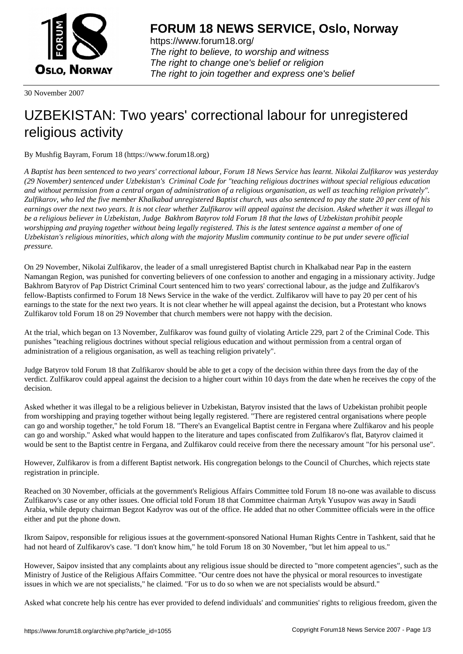

https://www.forum18.org/ The right to believe, to worship and witness The right to change one's belief or religion [The right to join together a](https://www.forum18.org/)nd express one's belief

30 November 2007

## [UZBEKISTAN:](https://www.forum18.org) Two years' correctional labour for unregistered religious activity

By Mushfig Bayram, Forum 18 (https://www.forum18.org)

*A Baptist has been sentenced to two years' correctional labour, Forum 18 News Service has learnt. Nikolai Zulfikarov was yesterday (29 November) sentenced under Uzbekistan's Criminal Code for "teaching religious doctrines without special religious education and without permission from a central organ of administration of a religious organisation, as well as teaching religion privately". Zulfikarov, who led the five member Khalkabad unregistered Baptist church, was also sentenced to pay the state 20 per cent of his earnings over the next two years. It is not clear whether Zulfikarov will appeal against the decision. Asked whether it was illegal to be a religious believer in Uzbekistan, Judge Bakhrom Batyrov told Forum 18 that the laws of Uzbekistan prohibit people worshipping and praying together without being legally registered. This is the latest sentence against a member of one of Uzbekistan's religious minorities, which along with the majority Muslim community continue to be put under severe official pressure.*

On 29 November, Nikolai Zulfikarov, the leader of a small unregistered Baptist church in Khalkabad near Pap in the eastern Namangan Region, was punished for converting believers of one confession to another and engaging in a missionary activity. Judge Bakhrom Batyrov of Pap District Criminal Court sentenced him to two years' correctional labour, as the judge and Zulfikarov's fellow-Baptists confirmed to Forum 18 News Service in the wake of the verdict. Zulfikarov will have to pay 20 per cent of his earnings to the state for the next two years. It is not clear whether he will appeal against the decision, but a Protestant who knows Zulfikarov told Forum 18 on 29 November that church members were not happy with the decision.

At the trial, which began on 13 November, Zulfikarov was found guilty of violating Article 229, part 2 of the Criminal Code. This punishes "teaching religious doctrines without special religious education and without permission from a central organ of administration of a religious organisation, as well as teaching religion privately".

Judge Batyrov told Forum 18 that Zulfikarov should be able to get a copy of the decision within three days from the day of the verdict. Zulfikarov could appeal against the decision to a higher court within 10 days from the date when he receives the copy of the decision.

Asked whether it was illegal to be a religious believer in Uzbekistan, Batyrov insisted that the laws of Uzbekistan prohibit people from worshipping and praying together without being legally registered. "There are registered central organisations where people can go and worship together," he told Forum 18. "There's an Evangelical Baptist centre in Fergana where Zulfikarov and his people can go and worship." Asked what would happen to the literature and tapes confiscated from Zulfikarov's flat, Batyrov claimed it would be sent to the Baptist centre in Fergana, and Zulfikarov could receive from there the necessary amount "for his personal use".

However, Zulfikarov is from a different Baptist network. His congregation belongs to the Council of Churches, which rejects state registration in principle.

Reached on 30 November, officials at the government's Religious Affairs Committee told Forum 18 no-one was available to discuss Zulfikarov's case or any other issues. One official told Forum 18 that Committee chairman Artyk Yusupov was away in Saudi Arabia, while deputy chairman Begzot Kadyrov was out of the office. He added that no other Committee officials were in the office either and put the phone down.

Ikrom Saipov, responsible for religious issues at the government-sponsored National Human Rights Centre in Tashkent, said that he had not heard of Zulfikarov's case. "I don't know him," he told Forum 18 on 30 November, "but let him appeal to us."

However, Saipov insisted that any complaints about any religious issue should be directed to "more competent agencies", such as the Ministry of Justice of the Religious Affairs Committee. "Our centre does not have the physical or moral resources to investigate issues in which we are not specialists," he claimed. "For us to do so when we are not specialists would be absurd."

Asked what concrete help his centre has ever provided to defend individuals' and communities' rights to religious freedom, given the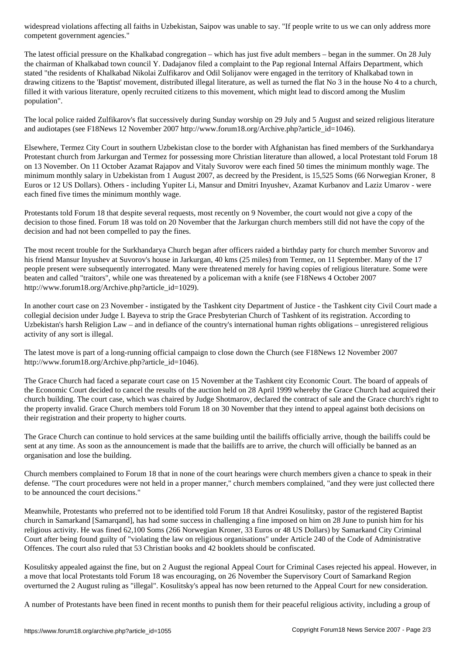competent government agencies."

The latest official pressure on the Khalkabad congregation – which has just five adult members – began in the summer. On 28 July the chairman of Khalkabad town council Y. Dadajanov filed a complaint to the Pap regional Internal Affairs Department, which stated "the residents of Khalkabad Nikolai Zulfikarov and Odil Solijanov were engaged in the territory of Khalkabad town in drawing citizens to the 'Baptist' movement, distributed illegal literature, as well as turned the flat No 3 in the house No 4 to a church, filled it with various literature, openly recruited citizens to this movement, which might lead to discord among the Muslim population".

The local police raided Zulfikarov's flat successively during Sunday worship on 29 July and 5 August and seized religious literature and audiotapes (see F18News 12 November 2007 http://www.forum18.org/Archive.php?article\_id=1046).

Elsewhere, Termez City Court in southern Uzbekistan close to the border with Afghanistan has fined members of the Surkhandarya Protestant church from Jarkurgan and Termez for possessing more Christian literature than allowed, a local Protestant told Forum 18 on 13 November. On 11 October Azamat Rajapov and Vitaly Suvorov were each fined 50 times the minimum monthly wage. The minimum monthly salary in Uzbekistan from 1 August 2007, as decreed by the President, is 15,525 Soms (66 Norwegian Kroner, 8 Euros or 12 US Dollars). Others - including Yupiter Li, Mansur and Dmitri Inyushev, Azamat Kurbanov and Laziz Umarov - were each fined five times the minimum monthly wage.

Protestants told Forum 18 that despite several requests, most recently on 9 November, the court would not give a copy of the decision to those fined. Forum 18 was told on 20 November that the Jarkurgan church members still did not have the copy of the decision and had not been compelled to pay the fines.

The most recent trouble for the Surkhandarya Church began after officers raided a birthday party for church member Suvorov and his friend Mansur Inyushev at Suvorov's house in Jarkurgan, 40 kms (25 miles) from Termez, on 11 September. Many of the 17 people present were subsequently interrogated. Many were threatened merely for having copies of religious literature. Some were beaten and called "traitors", while one was threatened by a policeman with a knife (see F18News 4 October 2007 http://www.forum18.org/Archive.php?article\_id=1029).

In another court case on 23 November - instigated by the Tashkent city Department of Justice - the Tashkent city Civil Court made a collegial decision under Judge I. Bayeva to strip the Grace Presbyterian Church of Tashkent of its registration. According to Uzbekistan's harsh Religion Law – and in defiance of the country's international human rights obligations – unregistered religious activity of any sort is illegal.

The latest move is part of a long-running official campaign to close down the Church (see F18News 12 November 2007 http://www.forum18.org/Archive.php?article\_id=1046).

The Grace Church had faced a separate court case on 15 November at the Tashkent city Economic Court. The board of appeals of the Economic Court decided to cancel the results of the auction held on 28 April 1999 whereby the Grace Church had acquired their church building. The court case, which was chaired by Judge Shotmarov, declared the contract of sale and the Grace church's right to the property invalid. Grace Church members told Forum 18 on 30 November that they intend to appeal against both decisions on their registration and their property to higher courts.

The Grace Church can continue to hold services at the same building until the bailiffs officially arrive, though the bailiffs could be sent at any time. As soon as the announcement is made that the bailiffs are to arrive, the church will officially be banned as an organisation and lose the building.

Church members complained to Forum 18 that in none of the court hearings were church members given a chance to speak in their defense. "The court procedures were not held in a proper manner," church members complained, "and they were just collected there to be announced the court decisions."

Meanwhile, Protestants who preferred not to be identified told Forum 18 that Andrei Kosulitsky, pastor of the registered Baptist church in Samarkand [Samarqand], has had some success in challenging a fine imposed on him on 28 June to punish him for his religious activity. He was fined 62,100 Soms (266 Norwegian Kroner, 33 Euros or 48 US Dollars) by Samarkand City Criminal Court after being found guilty of "violating the law on religious organisations" under Article 240 of the Code of Administrative Offences. The court also ruled that 53 Christian books and 42 booklets should be confiscated.

Kosulitsky appealed against the fine, but on 2 August the regional Appeal Court for Criminal Cases rejected his appeal. However, in a move that local Protestants told Forum 18 was encouraging, on 26 November the Supervisory Court of Samarkand Region overturned the 2 August ruling as "illegal". Kosulitsky's appeal has now been returned to the Appeal Court for new consideration.

A number of Protestants have been fined in recent months to punish them for their peaceful religious activity, including a group of